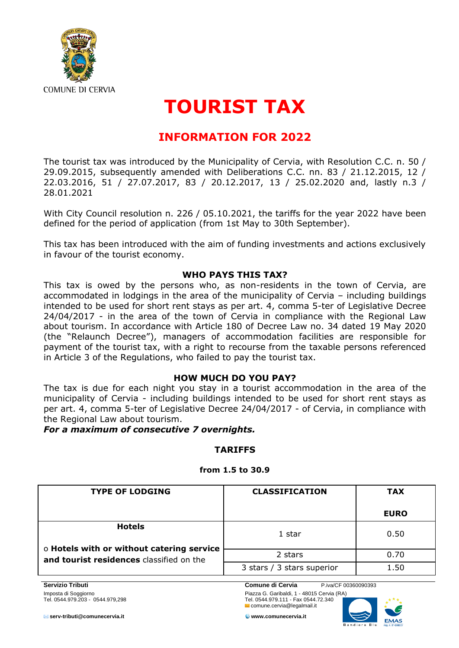

# **TOURIST TAX**

# **INFORMATION FOR 2022**

The tourist tax was introduced by the Municipality of Cervia, with Resolution C.C. n. 50 / 29.09.2015, subsequently amended with Deliberations C.C. nn. 83 / 21.12.2015, 12 / 22.03.2016, 51 / 27.07.2017, 83 / 20.12.2017, 13 / 25.02.2020 and, lastly n.3 / 28.01.2021

With City Council resolution n. 226 / 05.10.2021, the tariffs for the year 2022 have been defined for the period of application (from 1st May to 30th September).

This tax has been introduced with the aim of funding investments and actions exclusively in favour of the tourist economy.

### **WHO PAYS THIS TAX?**

This tax is owed by the persons who, as non-residents in the town of Cervia, are accommodated in lodgings in the area of the municipality of Cervia – including buildings intended to be used for short rent stays as per art. 4, comma 5-ter of Legislative Decree 24/04/2017 - in the area of the town of Cervia in compliance with the Regional Law about tourism. In accordance with Article 180 of Decree Law no. 34 dated 19 May 2020 (the "Relaunch Decree"), managers of accommodation facilities are responsible for payment of the tourist tax, with a right to recourse from the taxable persons referenced in Article 3 of the Regulations, who failed to pay the tourist tax.

#### **HOW MUCH DO YOU PAY?**

The tax is due for each night you stay in a tourist accommodation in the area of the municipality of Cervia - including buildings intended to be used for short rent stays as per art. 4, comma 5-ter of Legislative Decree 24/04/2017 - of Cervia, in compliance with the Regional Law about tourism.

*For a maximum of consecutive 7 overnights.*

## **TARIFFS**

#### **from 1.5 to 30.9**

| <b>TYPE OF LODGING</b>                                                                                 | <b>CLASSIFICATION</b>      | <b>TAX</b>  |
|--------------------------------------------------------------------------------------------------------|----------------------------|-------------|
|                                                                                                        |                            | <b>EURO</b> |
| <b>Hotels</b><br>o Hotels with or without catering service<br>and tourist residences classified on the | 1 star                     | 0.50        |
|                                                                                                        | 2 stars                    | 0.70        |
|                                                                                                        | 3 stars / 3 stars superior | 1.50        |

**Servizio Tributi Comune di Cervia** P.iva/CF 00360090393

Imposta di Soggiorno Piazza G. Garibaldi, 1 - 48015 Cervia (RA) Tel. 0544.979.203 - 0544.979,298 Tel. 0544.979.111 - Fax 0544.72.340 comune.cervia@legalmail.it



**serv-tributi@comunecervia.it www.comunecervia.it**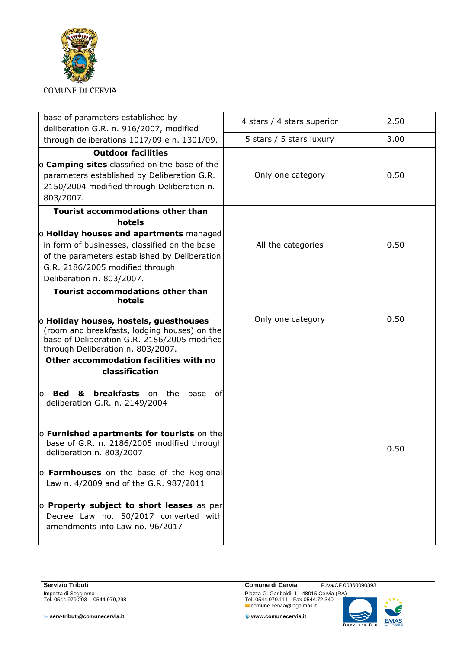

| base of parameters established by<br>deliberation G.R. n. 916/2007, modified                                                                                                                              | 4 stars / 4 stars superior | 2.50 |
|-----------------------------------------------------------------------------------------------------------------------------------------------------------------------------------------------------------|----------------------------|------|
| through deliberations 1017/09 e n. 1301/09.                                                                                                                                                               | 5 stars / 5 stars luxury   | 3.00 |
| <b>Outdoor facilities</b><br>o <b>Camping sites</b> classified on the base of the<br>parameters established by Deliberation G.R.<br>2150/2004 modified through Deliberation n.<br>803/2007.               | Only one category          | 0.50 |
| <b>Tourist accommodations other than</b><br>hotels                                                                                                                                                        |                            |      |
| o Holiday houses and apartments managed<br>in form of businesses, classified on the base<br>of the parameters established by Deliberation<br>G.R. 2186/2005 modified through<br>Deliberation n. 803/2007. | All the categories         | 0.50 |
| <b>Tourist accommodations other than</b><br>hotels                                                                                                                                                        |                            |      |
| o Holiday houses, hostels, guesthouses<br>(room and breakfasts, lodging houses) on the<br>base of Deliberation G.R. 2186/2005 modified<br>through Deliberation n. 803/2007.                               | Only one category          | 0.50 |
| Other accommodation facilities with no<br>classification                                                                                                                                                  |                            |      |
| <b>breakfasts</b> on the<br>&<br>base<br><b>Bed</b><br>ofl<br>$\Omega$<br>deliberation G.R. n. 2149/2004                                                                                                  |                            |      |
| o Furnished apartments for tourists on the<br>base of G.R. n. 2186/2005 modified through<br>deliberation n. 803/2007                                                                                      |                            | 0.50 |
| o Farmhouses on the base of the Regional<br>Law n. 4/2009 and of the G.R. 987/2011                                                                                                                        |                            |      |
| o Property subject to short leases as per<br>Decree Law no. 50/2017 converted with<br>amendments into Law no. 96/2017                                                                                     |                            |      |

**serv-tributi@comunecervia.it www.comunecervia.it**

**Servizio Tributi Comune di Cervia** P.iva/CF 00360090393<br>
Imposta di Soggiorno Piazza G. Garibaldi, 1 - 48015 Cervia (RA)<br>
Tel. 0544.979.203 - 0544.979,298 Tel. 0544.979.111 - Fax 0544.72.340 Imposta di Soggiorno Piazza G. Garibaldi, 1 - 48015 Cervia (RA) Tel. 0544.979.203 - 0544.979,298 Tel. 0544.979.111 - Fax 0544.72.340 comune.cervia@legalmail.it